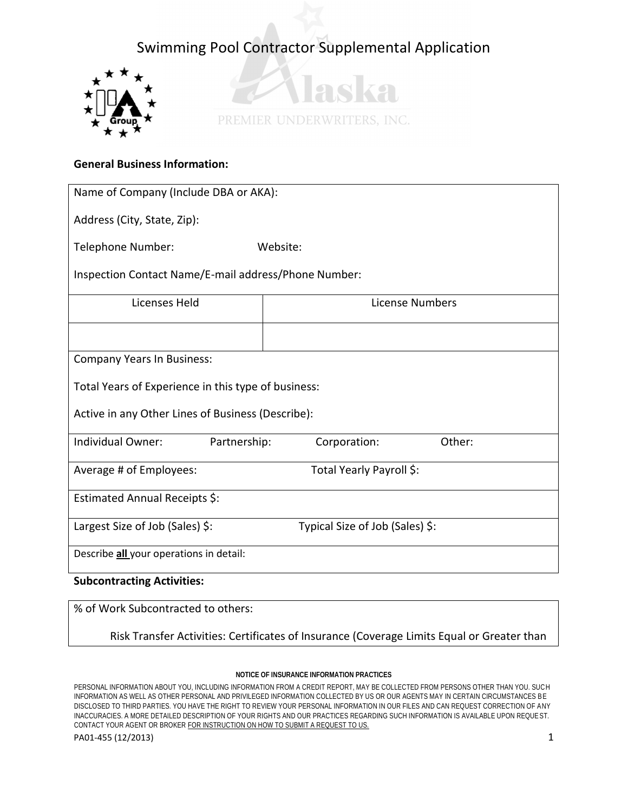



### **General Business Information:**

| Name of Company (Include DBA or AKA):                |                                 |  |  |  |
|------------------------------------------------------|---------------------------------|--|--|--|
| Address (City, State, Zip):                          |                                 |  |  |  |
| Telephone Number:                                    | Website:                        |  |  |  |
| Inspection Contact Name/E-mail address/Phone Number: |                                 |  |  |  |
| Licenses Held                                        | License Numbers                 |  |  |  |
|                                                      |                                 |  |  |  |
| <b>Company Years In Business:</b>                    |                                 |  |  |  |
| Total Years of Experience in this type of business:  |                                 |  |  |  |
| Active in any Other Lines of Business (Describe):    |                                 |  |  |  |
| Individual Owner:<br>Partnership:                    | Corporation:<br>Other:          |  |  |  |
| Average # of Employees:                              | Total Yearly Payroll \$:        |  |  |  |
| Estimated Annual Receipts \$:                        |                                 |  |  |  |
| Largest Size of Job (Sales) \$:                      | Typical Size of Job (Sales) \$: |  |  |  |
| Describe all your operations in detail:              |                                 |  |  |  |
| <b>Subcontracting Activities:</b>                    |                                 |  |  |  |

% of Work Subcontracted to others:

Risk Transfer Activities: Certificates of Insurance (Coverage Limits Equal or Greater than

#### **NOTICE OF INSURANCE INFORMATION PRACTICES**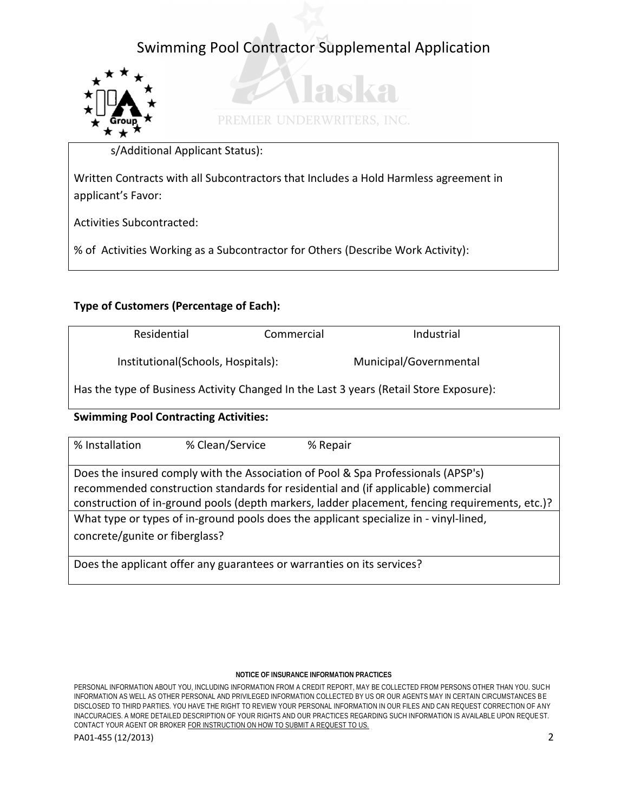

 $\mathcal{L}$ PREMIER UNDERWRITERS, INC.

 $\Omega$ 

s/Additional Applicant Status):

Written Contracts with all Subcontractors that Includes a Hold Harmless agreement in applicant's Favor:

Activities Subcontracted:

% of Activities Working as a Subcontractor for Others (Describe Work Activity):

### **Type of Customers (Percentage of Each):**

| Residential                                                                            | Commercial | Industrial             |  |  |
|----------------------------------------------------------------------------------------|------------|------------------------|--|--|
| Institutional(Schools, Hospitals):                                                     |            | Municipal/Governmental |  |  |
| Has the type of Business Activity Changed In the Last 3 years (Retail Store Exposure): |            |                        |  |  |

### **Swimming Pool Contracting Activities:**

| % Installation                                                                                                                                                                                                                                                           | % Clean/Service | % Repair |  |  |
|--------------------------------------------------------------------------------------------------------------------------------------------------------------------------------------------------------------------------------------------------------------------------|-----------------|----------|--|--|
| Does the insured comply with the Association of Pool & Spa Professionals (APSP's)<br>recommended construction standards for residential and (if applicable) commercial<br>construction of in-ground pools (depth markers, ladder placement, fencing requirements, etc.)? |                 |          |  |  |
| What type or types of in-ground pools does the applicant specialize in - vinyl-lined,<br>concrete/gunite or fiberglass?                                                                                                                                                  |                 |          |  |  |
| Does the applicant offer any guarantees or warranties on its services?                                                                                                                                                                                                   |                 |          |  |  |

#### **NOTICE OF INSURANCE INFORMATION PRACTICES**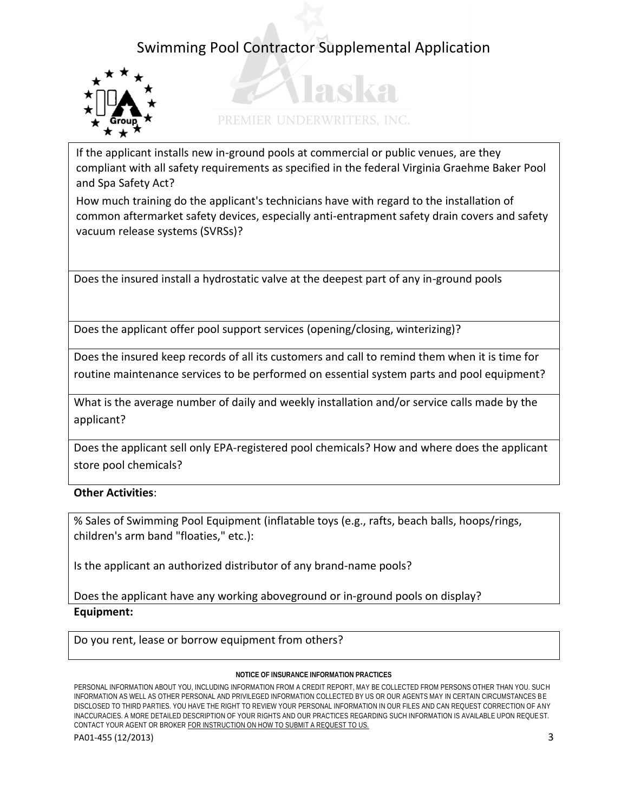

# PREMIER UNDERWRITERS, INC.

adka

If the applicant installs new in-ground pools at commercial or public venues, are they compliant with all safety requirements as specified in the federal Virginia Graehme Baker Pool and Spa Safety Act?

How much training do the applicant's technicians have with regard to the installation of common aftermarket safety devices, especially anti-entrapment safety drain covers and safety vacuum release systems (SVRSs)?

Does the insured install a hydrostatic valve at the deepest part of any in-ground pools

Does the applicant offer pool support services (opening/closing, winterizing)?

Does the insured keep records of all its customers and call to remind them when it is time for routine maintenance services to be performed on essential system parts and pool equipment?

What is the average number of daily and weekly installation and/or service calls made by the applicant?

Does the applicant sell only EPA-registered pool chemicals? How and where does the applicant store pool chemicals?

### **Other Activities**:

% Sales of Swimming Pool Equipment (inflatable toys (e.g., rafts, beach balls, hoops/rings, children's arm band "floaties," etc.):

Is the applicant an authorized distributor of any brand-name pools?

Does the applicant have any working aboveground or in-ground pools on display? **Equipment:** 

Do you rent, lease or borrow equipment from others?

#### **NOTICE OF INSURANCE INFORMATION PRACTICES**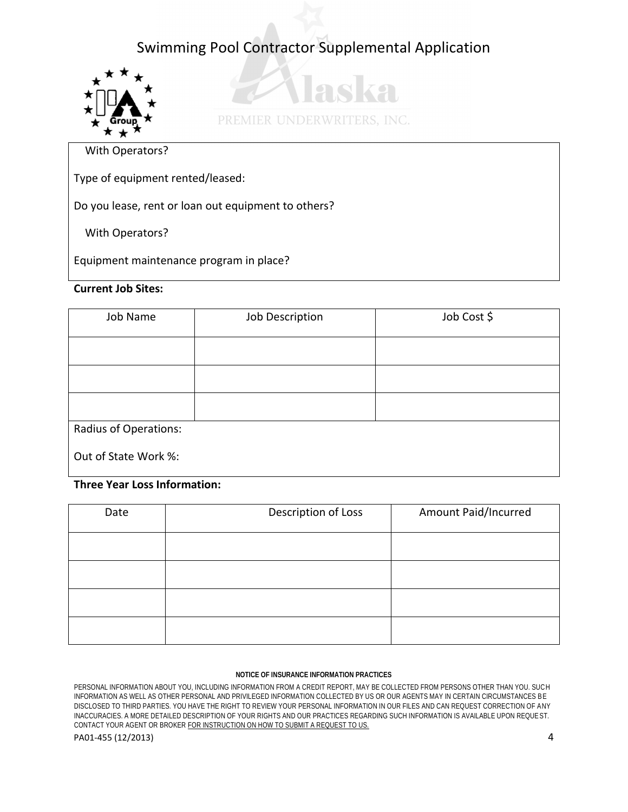

28 KA PREMIER UNDERWRITERS, INC.

With Operators?

Type of equipment rented/leased:

Do you lease, rent or loan out equipment to others?

With Operators?

Equipment maintenance program in place?

### **Current Job Sites:**

| Job Name              | Job Description | Job Cost \$ |
|-----------------------|-----------------|-------------|
|                       |                 |             |
|                       |                 |             |
|                       |                 |             |
| Radius of Operations: |                 |             |
| Out of State Work %:  |                 |             |

### **Three Year Loss Information:**

| Date | Description of Loss | Amount Paid/Incurred |
|------|---------------------|----------------------|
|      |                     |                      |
|      |                     |                      |
|      |                     |                      |
|      |                     |                      |

#### **NOTICE OF INSURANCE INFORMATION PRACTICES**